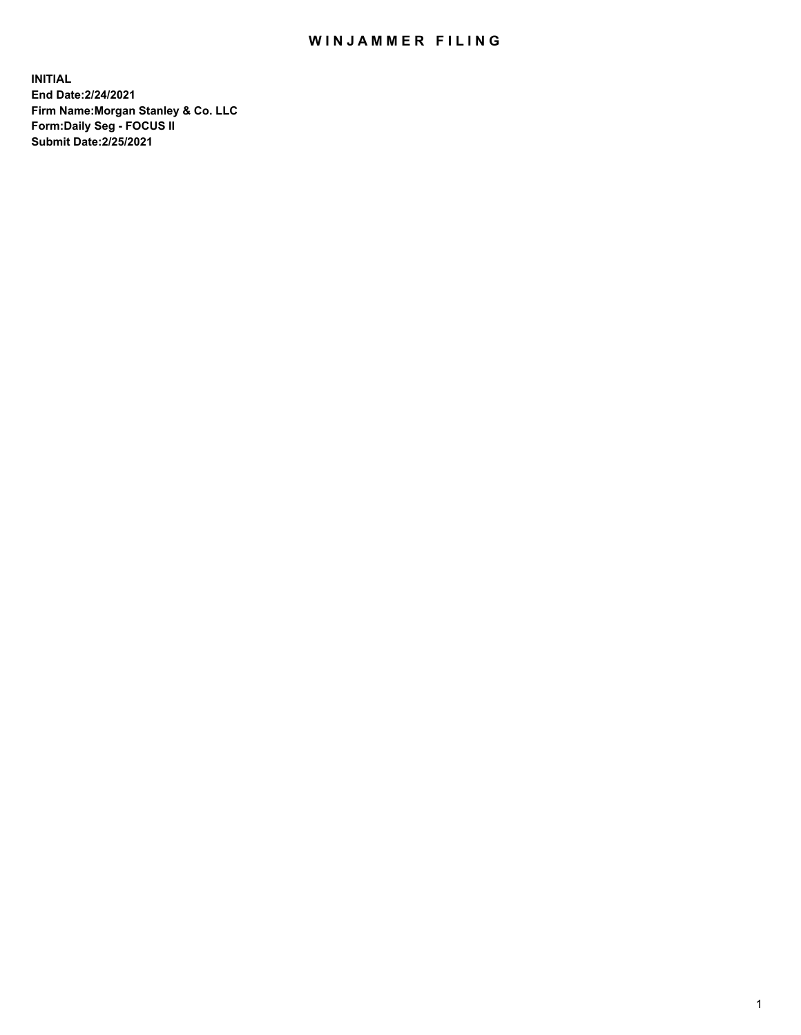## WIN JAMMER FILING

**INITIAL End Date:2/24/2021 Firm Name:Morgan Stanley & Co. LLC Form:Daily Seg - FOCUS II Submit Date:2/25/2021**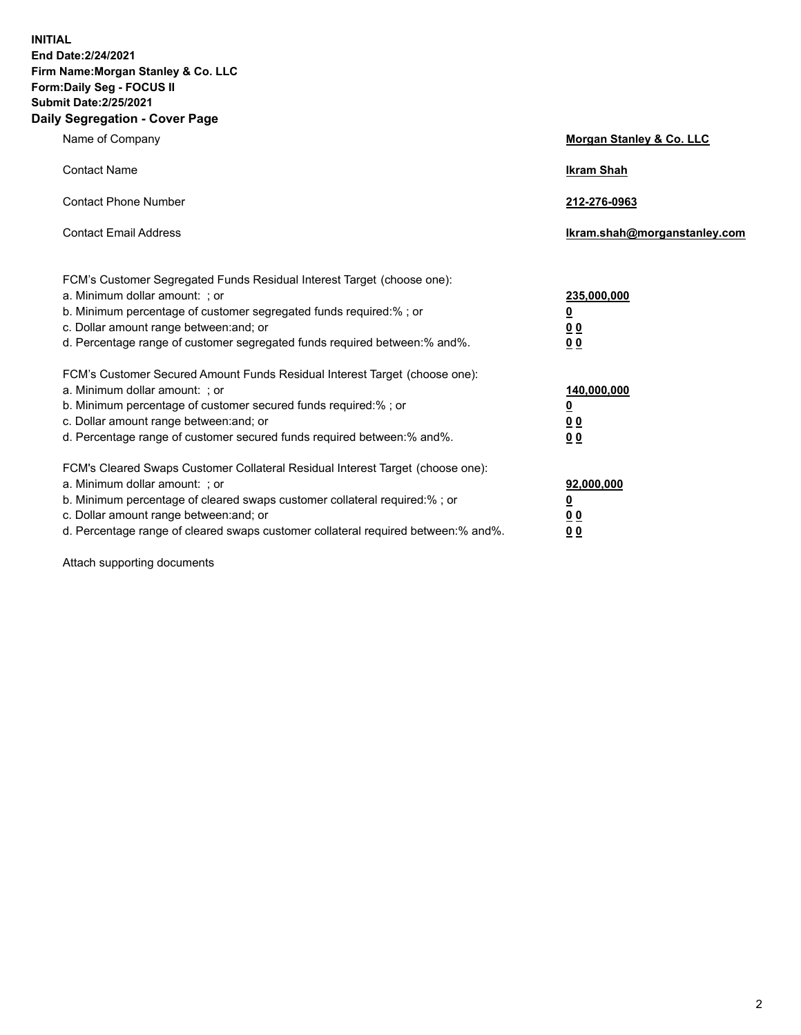**INITIAL End Date:2/24/2021 Firm Name:Morgan Stanley & Co. LLC Form:Daily Seg - FOCUS II Submit Date:2/25/2021 Daily Segregation - Cover Page**

| Name of Company                                                                                                                                                                                                                                                                                                                | Morgan Stanley & Co. LLC                                    |
|--------------------------------------------------------------------------------------------------------------------------------------------------------------------------------------------------------------------------------------------------------------------------------------------------------------------------------|-------------------------------------------------------------|
| <b>Contact Name</b>                                                                                                                                                                                                                                                                                                            | <b>Ikram Shah</b>                                           |
| <b>Contact Phone Number</b>                                                                                                                                                                                                                                                                                                    | 212-276-0963                                                |
| <b>Contact Email Address</b>                                                                                                                                                                                                                                                                                                   | Ikram.shah@morganstanley.com                                |
| FCM's Customer Segregated Funds Residual Interest Target (choose one):<br>a. Minimum dollar amount: ; or<br>b. Minimum percentage of customer segregated funds required:% ; or<br>c. Dollar amount range between: and; or<br>d. Percentage range of customer segregated funds required between: % and %.                       | 235,000,000<br><u>0</u><br>00<br>0 <sub>0</sub>             |
| FCM's Customer Secured Amount Funds Residual Interest Target (choose one):<br>a. Minimum dollar amount: ; or<br>b. Minimum percentage of customer secured funds required:%; or<br>c. Dollar amount range between: and; or<br>d. Percentage range of customer secured funds required between:% and%.                            | 140,000,000<br><u>0</u><br>0 <sub>0</sub><br>0 <sub>0</sub> |
| FCM's Cleared Swaps Customer Collateral Residual Interest Target (choose one):<br>a. Minimum dollar amount: ; or<br>b. Minimum percentage of cleared swaps customer collateral required:% ; or<br>c. Dollar amount range between: and; or<br>d. Percentage range of cleared swaps customer collateral required between:% and%. | 92,000,000<br><u>0</u><br>0 Q<br>0 <sub>0</sub>             |

Attach supporting documents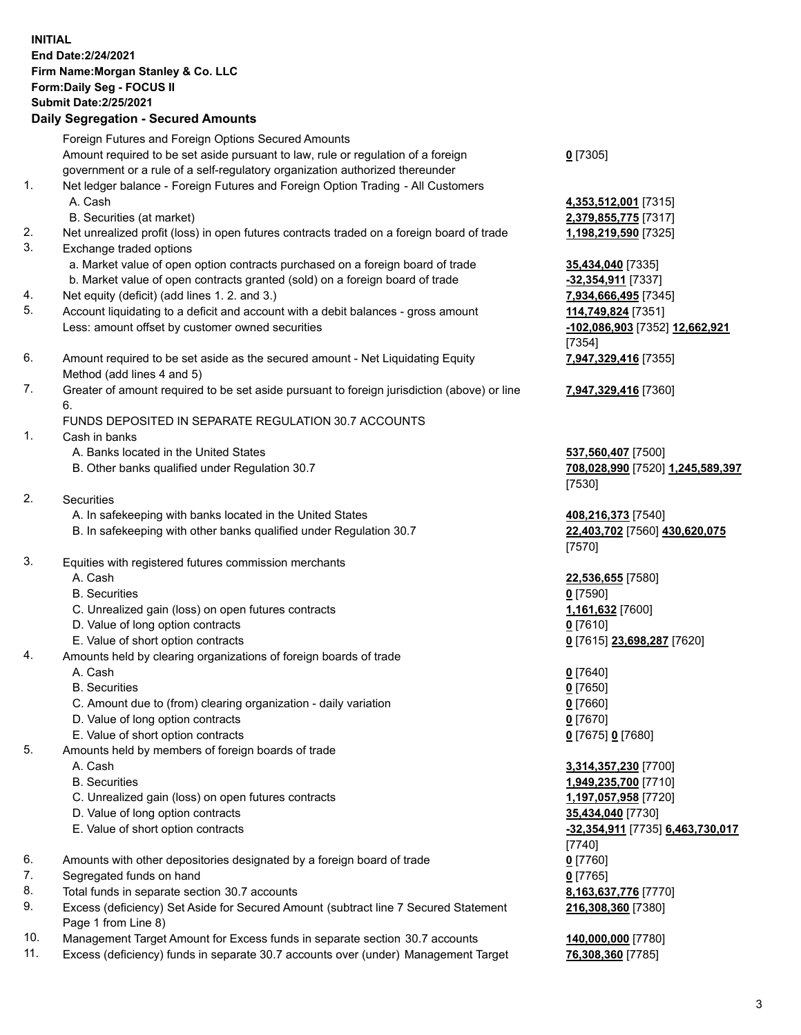## **INITIAL End Date:2/24/2021 Firm Name:Morgan Stanley & Co. LLC Form:Daily Seg - FOCUS II Submit Date:2/25/2021**

**Daily Segregation - Secured Amounts** Foreign Futures and Foreign Options Secured Amounts Amount required to be set aside pursuant to law, rule or regulation of a foreign government or a rule of a self-regulatory organization authorized thereunder 1. Net ledger balance - Foreign Futures and Foreign Option Trading - All Customers A. Cash **4,353,512,001** [7315] B. Securities (at market) **2,379,855,775** [7317] 2. Net unrealized profit (loss) in open futures contracts traded on a foreign board of trade **1,198,219,590** [7325] 3. Exchange traded options a. Market value of open option contracts purchased on a foreign board of trade **35,434,040** [7335] b. Market value of open contracts granted (sold) on a foreign board of trade **-32,354,911** [7337] 4. Net equity (deficit) (add lines 1. 2. and 3.) **7,934,666,495** [7345] 5. Account liquidating to a deficit and account with a debit balances - gross amount **114,749,824** [7351] Less: amount offset by customer owned securities **-102,086,903** [7352] **12,662,921** 6. Amount required to be set aside as the secured amount - Net Liquidating Equity Method (add lines 4 and 5) 7. Greater of amount required to be set aside pursuant to foreign jurisdiction (above) or line 6. FUNDS DEPOSITED IN SEPARATE REGULATION 30.7 ACCOUNTS 1. Cash in banks A. Banks located in the United States **537,560,407** [7500] B. Other banks qualified under Regulation 30.7 **708,028,990** [7520] **1,245,589,397** 2. Securities A. In safekeeping with banks located in the United States **408,216,373** [7540] B. In safekeeping with other banks qualified under Regulation 30.7 **22,403,702** [7560] **430,620,075** 3. Equities with registered futures commission merchants A. Cash **22,536,655** [7580] B. Securities **0** [7590] C. Unrealized gain (loss) on open futures contracts **1,161,632** [7600] D. Value of long option contracts **0** [7610] E. Value of short option contracts **0** [7615] **23,698,287** [7620] 4. Amounts held by clearing organizations of foreign boards of trade A. Cash **0** [7640]

- B. Securities **0** [7650]
- C. Amount due to (from) clearing organization daily variation **0** [7660]
- D. Value of long option contracts **0** [7670]
- E. Value of short option contracts **0** [7675] **0** [7680]
- 5. Amounts held by members of foreign boards of trade
	-
	-
	- C. Unrealized gain (loss) on open futures contracts **1,197,057,958** [7720]
	- D. Value of long option contracts **35,434,040** [7730]
	- E. Value of short option contracts **-32,354,911** [7735] **6,463,730,017**
- 6. Amounts with other depositories designated by a foreign board of trade **0** [7760]
- 7. Segregated funds on hand **0** [7765]
- 8. Total funds in separate section 30.7 accounts **8,163,637,776** [7770]
- 9. Excess (deficiency) Set Aside for Secured Amount (subtract line 7 Secured Statement Page 1 from Line 8)
- 10. Management Target Amount for Excess funds in separate section 30.7 accounts **140,000,000** [7780]
- 11. Excess (deficiency) funds in separate 30.7 accounts over (under) Management Target **76,308,360** [7785]

**0** [7305]

[7354] **7,947,329,416** [7355]

**7,947,329,416** [7360]

[7530]

[7570]

 A. Cash **3,314,357,230** [7700] B. Securities **1,949,235,700** [7710] [7740] **216,308,360** [7380]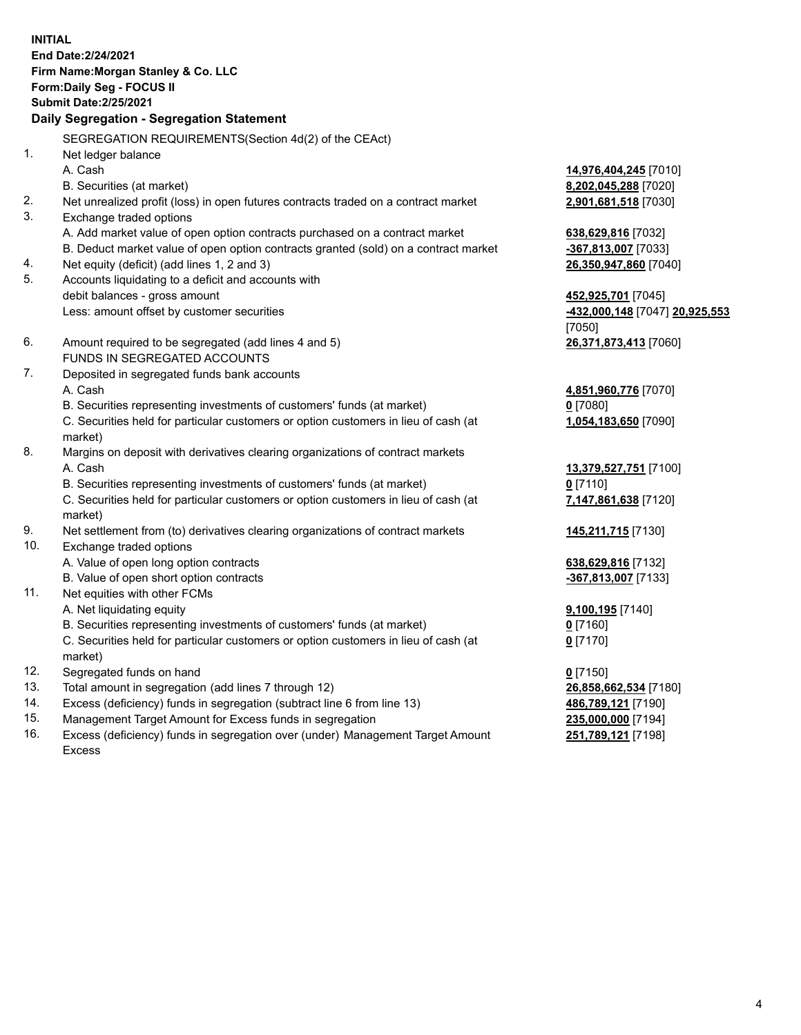**INITIAL End Date:2/24/2021 Firm Name:Morgan Stanley & Co. LLC Form:Daily Seg - FOCUS II Submit Date:2/25/2021 Daily Segregation - Segregation Statement** SEGREGATION REQUIREMENTS(Section 4d(2) of the CEAct) 1. Net ledger balance A. Cash **14,976,404,245** [7010] B. Securities (at market) **8,202,045,288** [7020] 2. Net unrealized profit (loss) in open futures contracts traded on a contract market **2,901,681,518** [7030] 3. Exchange traded options A. Add market value of open option contracts purchased on a contract market **638,629,816** [7032] B. Deduct market value of open option contracts granted (sold) on a contract market **-367,813,007** [7033] 4. Net equity (deficit) (add lines 1, 2 and 3) **26,350,947,860** [7040] 5. Accounts liquidating to a deficit and accounts with debit balances - gross amount **452,925,701** [7045] Less: amount offset by customer securities **-432,000,148** [7047] **20,925,553** [7050] 6. Amount required to be segregated (add lines 4 and 5) **26,371,873,413** [7060] FUNDS IN SEGREGATED ACCOUNTS 7. Deposited in segregated funds bank accounts A. Cash **4,851,960,776** [7070] B. Securities representing investments of customers' funds (at market) **0** [7080] C. Securities held for particular customers or option customers in lieu of cash (at market) **1,054,183,650** [7090] 8. Margins on deposit with derivatives clearing organizations of contract markets A. Cash **13,379,527,751** [7100] B. Securities representing investments of customers' funds (at market) **0** [7110] C. Securities held for particular customers or option customers in lieu of cash (at market) **7,147,861,638** [7120] 9. Net settlement from (to) derivatives clearing organizations of contract markets **145,211,715** [7130] 10. Exchange traded options A. Value of open long option contracts **638,629,816** [7132] B. Value of open short option contracts **-367,813,007** [7133] 11. Net equities with other FCMs A. Net liquidating equity **9,100,195** [7140] B. Securities representing investments of customers' funds (at market) **0** [7160] C. Securities held for particular customers or option customers in lieu of cash (at market) **0** [7170] 12. Segregated funds on hand **0** [7150] 13. Total amount in segregation (add lines 7 through 12) **26,858,662,534** [7180] 14. Excess (deficiency) funds in segregation (subtract line 6 from line 13) **486,789,121** [7190]

- 15. Management Target Amount for Excess funds in segregation **235,000,000** [7194]
- 16. Excess (deficiency) funds in segregation over (under) Management Target Amount Excess

**251,789,121** [7198]